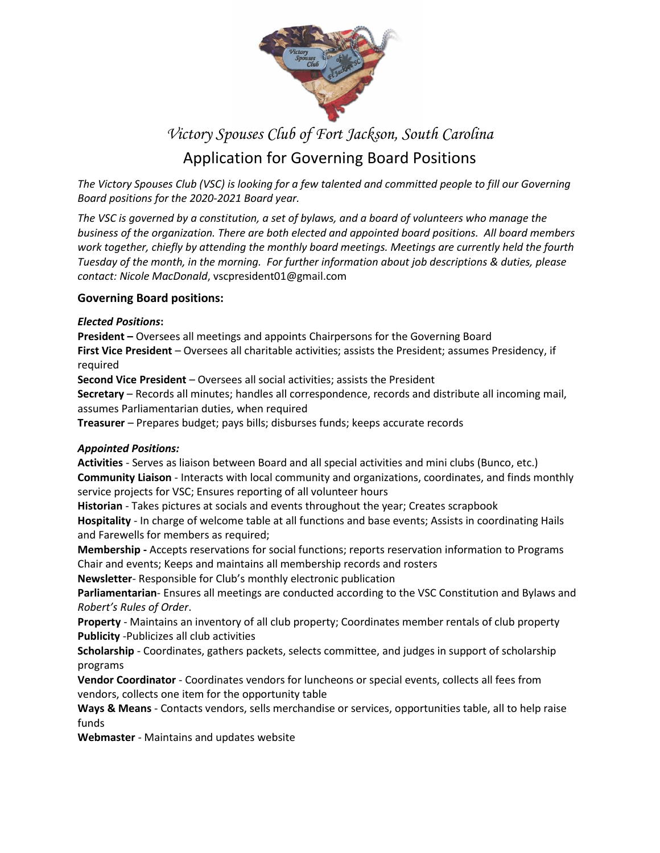

# *Victory Spouses Club of Fort Jackson, South Carolina* Application for Governing Board Positions

The Victory Spouses Club (VSC) is looking for a few talented and committed people to fill our Governing *Board positions for the 2020-2021 Board year.* 

The VSC is governed by a constitution, a set of bylaws, and a board of volunteers who manage the *business of the organization. There are both elected and appointed board positions. All board members work together, chiefly by attending the monthly board meetings. Meetings are currently held the fourth Tuesday of the month, in the morning. For further information about job descriptions & duties, please contact: Nicole MacDonald*, vscpresident01@gmail.com

## **Governing Board positions:**

#### *Elected Positions***:**

**President –** Oversees all meetings and appoints Chairpersons for the Governing Board **First Vice President** – Oversees all charitable activities; assists the President; assumes Presidency, if required

**Second Vice President** – Oversees all social activities; assists the President

**Secretary** – Records all minutes; handles all correspondence, records and distribute all incoming mail, assumes Parliamentarian duties, when required

**Treasurer** – Prepares budget; pays bills; disburses funds; keeps accurate records

#### *Appointed Positions:*

**Activities** - Serves as liaison between Board and all special activities and mini clubs (Bunco, etc.) **Community Liaison** - Interacts with local community and organizations, coordinates, and finds monthly service projects for VSC; Ensures reporting of all volunteer hours

**Historian** - Takes pictures at socials and events throughout the year; Creates scrapbook **Hospitality** - In charge of welcome table at all functions and base events; Assists in coordinating Hails and Farewells for members as required;

**Membership -** Accepts reservations for social functions; reports reservation information to Programs Chair and events; Keeps and maintains all membership records and rosters

**Newsletter**- Responsible for Club's monthly electronic publication

**Parliamentarian**- Ensures all meetings are conducted according to the VSC Constitution and Bylaws and *Robert's Rules of Order*.

**Property** - Maintains an inventory of all club property; Coordinates member rentals of club property **Publicity** -Publicizes all club activities

**Scholarship** - Coordinates, gathers packets, selects committee, and judges in support of scholarship programs

**Vendor Coordinator** - Coordinates vendors for luncheons or special events, collects all fees from vendors, collects one item for the opportunity table

**Ways & Means** - Contacts vendors, sells merchandise or services, opportunities table, all to help raise funds

**Webmaster** - Maintains and updates website